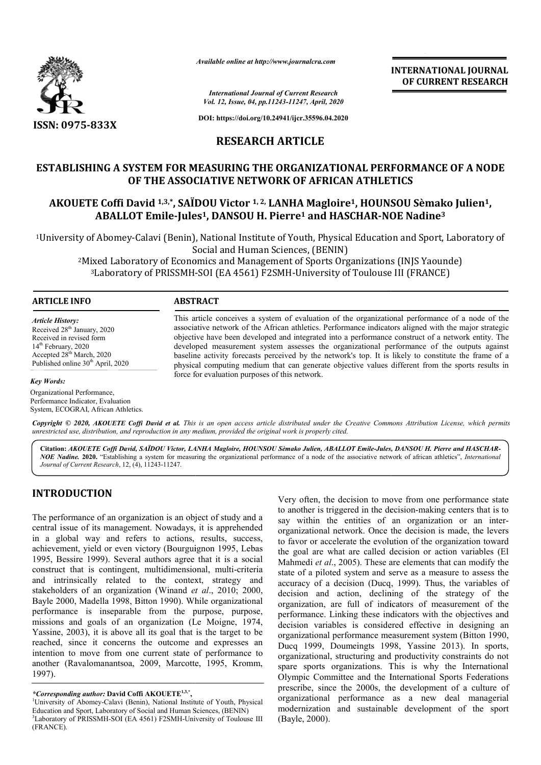

*Available online at http://www.journalcra.com*

*International Journal of Current Research Vol. 12, Issue, 04, pp.11243-11247, April, 2020* **INTERNATIONAL JOURNAL OF CURRENT RESEARCH**

**DOI: https://doi.org/10.24941/ijcr.35596.04.2020**

## **RESEARCH ARTICLE**

## **ESTABLISHING A SYSTEM FOR MEASURING THE ORGANIZATIONAL PERFORMANCE OF A NODE OF THE ASSOCIATIVE NETWORK OF AFRICAN ATHLETICS** TABLISHING A SYSTEM FOR MEASURING THE ORGANIZATIONAL PERFORMANCE OF A NODE<br>OF THE ASSOCIATIVE NETWORK OF AFRICAN ATHLETICS<br>AKOUETE Coffi David <sup>1,3,\*</sup>, SAÏDOU Victor <sup>1, 2,</sup> LANHA Magloire<sup>1</sup>, HOUNSOU Sèmako Julien<sup>1</sup>,

# **ABALLOT Emile-Jules Jules1, DANSOU H. Pierre1 and HASCHAR-NOE Nadine NOE Nadine3**

<sup>1</sup>University of Abomey-Calavi (Benin), National Institute of Youth, Physical Education and Sport, Laboratory of<br>Social and Human Sciences, (BENIN) Social and Human Sciences, (BENIN) (Benin), National Institute of Youth, Physi<br>Social and Human Sciences, (BENIN<br>of Economics and Management of Sports O<br>RISSMH-SOI (EA 4561) F2SMH-University

2Mixed Laboratory of Economics and Management of Sports Organizations (INJS Yaounde) Mixed Laboratory of Economics and Management of Sports Organizations (INJS Yaounouse 111)<br><sup>3</sup>Laboratory of PRISSMH-SOI (EA 4561) F2SMH-University of Toulouse III (FRANCE)

#### **ARTICLE INFO ABSTRACT**

*Article History:* Received 28<sup>th</sup> January, 2020 Received in revised form 14<sup>th</sup> February, 2020 Accepted 28th March, 2020 Published online  $30<sup>th</sup>$  April, 2020

#### *Key Words:*

Organizational Performance, Performance Indicator, Evaluation System, ECOGRAL, African Athletics. This article conceives a system of evaluation of the organizational performance of a node of the associative network of the African athletics. Performance indicators aligned with the major strategic objective have been developed and integrated into a performance construct of a network entity. The developed measurement system assesses the organizational performance of the outputs against baseline activity forecasts perceived by the network's top. It is likely to constitute the frame of a baseline activity forecasts perceived by the network's top. It is likely to constitute the frame of a physical computing medium that can generate objective values different from the sports results in force for evaluation purposes of this network. This article conceives a system of evaluation of the organizational performance of a node of the associative network of the African athletics. Performance indicators aligned with the major strategic objective have been dev

Copyright © 2020, AKOUETE Coffi David et al. This is an open access article distributed under the Creative Commons Attribution License, which permits *unrestricted use, distribution, and reproduction in any medium, provided the original work is properly cited.*

**Citation:** *AKOUETE Coffi David, SAÏDOU Victor, LANHA Magloire, HOUNSOU Sèmako Julien, ABALLOT Emile Emile-Jules, DANSOU H. Pierre and HASCHAR Jules, Pierre and HASCHAR-*NOE Nadine. 2020. "Establishing a system for measuring the organizational performance of a node of the associative network of african athletics", *International Journal of Current Research*, 12, (4), 11243-11247.

## **INTRODUCTION**

The performance of an organization is an object of study and a central issue of its management. Nowadays, it is apprehended in a global way and refers to actions, results, success, achievement, yield or even victory (Bourguignon 1995, Lebas 1995, Bessire 1999). Several authors agree that it is a social 1995, Bessire 1999). Several authors agree that it is a social construct that is contingent, multidimensional, multi-criteria and intrinsically related to the context, strategy and stakeholders of an organization (Winand et al., 2010; 2000, Bayle 2000, Madella 1998, Bitton 1990). While organizational performance is inseparable from the purpose, purpose, missions and goals of an organization (Le Moigne, 1974, Yassine, 2003), it is above all its goal that is the target to be reached, since it concerns the outcome and expresses an intention to move from one current state of performance to another (Ravalomanantsoa, 2009, Marcotte, 1995, Kromm, 1997). on 1990). While organizational<br>from the purpose, purpose,<br>ganization (Le Moigne, 1974,<br>its goal that is the target to be<br>e outcome and expresses an

*\*Corresponding author:* **David Coffi AKOUETE1,3,\*,** <sup>1</sup>

Very often, the decision to move from one performance state<br>
by the another is triggered in the decision-making centers that is to<br>
say within the entities of an organization or an inter-<br>
organizational network. Once the Very often, the decision to move from one performance state to another is triggered in the decision-making centers that is to say within the entities of an organization or an interorganizational network. Once the decision is made, the levers to favor or accelerate the evolution of the organization toward the goal are what are called decision or action variables (El Mahmedi *et al*., 2005). These are elements that can modify the state of a piloted system and serve as a measure to assess the accuracy of a decision (Ducq, 1999). Thus, the variables of decision and action, declining of the strategy of the organization, are full of indicators of measurement of the performance. Linking these indicators with the objectives and decision variables is considered effective in designing an organizational performance measurement system (Bitton 1990, organization, are full of indicators of measurement of the performance. Linking these indicators with the objectives and decision variables is considered effective in designing an organizational performance measurement sys organizational, structuring and productivity constraints do not spare sports organizations. This is why the International Olympic Committee and the International Sports Federations prescribe, since the 2000s, the development of a culture of organizational performance as a new deal managerial modernization and sustainable development of the sport (Bayle, 2000). ganizational network. Once the decision is made, the levers favor or accelerate the evolution of the organization toward<br>c goal are what are called decision or action variables (El It *et al.*, 2005). These are elements that can modify the a piloted system and serve as a measure to assess the  $\gamma$  of a decision (Ducq, 1999). Thus, the variables of and action, declining of the strategy of the organizational, structuring and productivity constraints do not spare sports organizations. This is why the International Olympic Committee and the International Sports Federations prescribe, since the 2000s, the developme **JOURNAL**<br> **ESEARCH**<br> **ESEARCH**<br> **ESEARCH**<br> **ESEARCH**<br> **ESEARCH**<br> **ESEARCH**<br> **ESEARCH**<br> **ESEARCH**<br> **ESEARCH**<br> **END**<br> **END**<br> **END**<br> **END**<br> **END**<br> **END**<br> **END**<br> **END**<br> **END**<br> **END**<br> **END**<br> **END**<br> **END**<br> **END**<br> **END**<br> **END**<br>

University of Abomey-Calavi (Benin), National Institute of Youth, Physical Education and Sport, Laboratory of Social and Human Sciences, (BENIN) <sup>3</sup>Laboratory of PRISSMH-SOI (EA 4561) F2SMH-University of Toulouse III (FRANCE).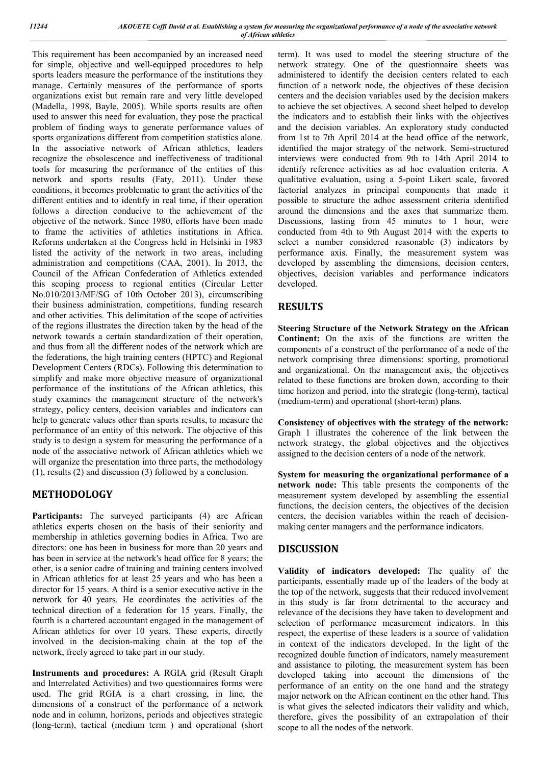This requirement has been accompanied by an increased need for simple, objective and well-equipped procedures to help sports leaders measure the performance of the institutions they manage. Certainly measures of the performance of sports organizations exist but remain rare and very little developed (Madella, 1998, Bayle, 2005). While sports results are often used to answer this need for evaluation, they pose the practical problem of finding ways to generate performance values of sports organizations different from competition statistics alone. In the associative network of African athletics, leaders recognize the obsolescence and ineffectiveness of traditional tools for measuring the performance of the entities of this network and sports results (Faty, 2011). Under these conditions, it becomes problematic to grant the activities of the different entities and to identify in real time, if their operation follows a direction conducive to the achievement of the objective of the network. Since 1980, efforts have been made to frame the activities of athletics institutions in Africa. Reforms undertaken at the Congress held in Helsinki in 1983 listed the activity of the network in two areas, including administration and competitions (CAA, 2001). In 2013, the Council of the African Confederation of Athletics extended this scoping process to regional entities (Circular Letter No.010/2013/MF/SG of 10th October 2013), circumscribing their business administration, competitions, funding research and other activities. This delimitation of the scope of activities of the regions illustrates the direction taken by the head of the network towards a certain standardization of their operation, and thus from all the different nodes of the network which are the federations, the high training centers (HPTC) and Regional Development Centers (RDCs). Following this determination to simplify and make more objective measure of organizational performance of the institutions of the African athletics, this study examines the management structure of the network's strategy, policy centers, decision variables and indicators can help to generate values other than sports results, to measure the performance of an entity of this network. The objective of this study is to design a system for measuring the performance of a node of the associative network of African athletics which we will organize the presentation into three parts, the methodology (1), results (2) and discussion (3) followed by a conclusion.

## **METHODOLOGY**

Participants: The surveyed participants (4) are African athletics experts chosen on the basis of their seniority and membership in athletics governing bodies in Africa. Two are directors: one has been in business for more than 20 years and has been in service at the network's head office for 8 years; the other, is a senior cadre of training and training centers involved in African athletics for at least 25 years and who has been a director for 15 years. A third is a senior executive active in the network for 40 years. He coordinates the activities of the technical direction of a federation for 15 years. Finally, the fourth is a chartered accountant engaged in the management of African athletics for over 10 years. These experts, directly involved in the decision-making chain at the top of the network, freely agreed to take part in our study.

**Instruments and procedures:** A RGIA grid (Result Graph and Interrelated Activities) and two questionnaires forms were used. The grid RGIA is a chart crossing, in line, the dimensions of a construct of the performance of a network node and in column, horizons, periods and objectives strategic (long-term), tactical (medium term ) and operational (short

term). It was used to model the steering structure of the network strategy. One of the questionnaire sheets was administered to identify the decision centers related to each function of a network node, the objectives of these decision centers and the decision variables used by the decision makers to achieve the set objectives. A second sheet helped to develop the indicators and to establish their links with the objectives and the decision variables. An exploratory study conducted from 1st to 7th April 2014 at the head office of the network, identified the major strategy of the network. Semi-structured interviews were conducted from 9th to 14th April 2014 to identify reference activities as ad hoc evaluation criteria. A qualitative evaluation, using a 5-point Likert scale, favored factorial analyzes in principal components that made it possible to structure the adhoc assessment criteria identified around the dimensions and the axes that summarize them. Discussions, lasting from 45 minutes to 1 hour, were conducted from 4th to 9th August 2014 with the experts to select a number considered reasonable (3) indicators by performance axis. Finally, the measurement system was developed by assembling the dimensions, decision centers, objectives, decision variables and performance indicators developed.

## **RESULTS**

**Steering Structure of the Network Strategy on the African Continent:** On the axis of the functions are written the components of a construct of the performance of a node of the network comprising three dimensions: sporting, promotional and organizational. On the management axis, the objectives related to these functions are broken down, according to their time horizon and period, into the strategic (long-term), tactical (medium-term) and operational (short-term) plans.

**Consistency of objectives with the strategy of the network:**  Graph 1 illustrates the coherence of the link between the network strategy, the global objectives and the objectives assigned to the decision centers of a node of the network.

**System for measuring the organizational performance of a network node:** This table presents the components of the measurement system developed by assembling the essential functions, the decision centers, the objectives of the decision centers, the decision variables within the reach of decisionmaking center managers and the performance indicators.

## **DISCUSSION**

**Validity of indicators developed:** The quality of the participants, essentially made up of the leaders of the body at the top of the network, suggests that their reduced involvement in this study is far from detrimental to the accuracy and relevance of the decisions they have taken to development and selection of performance measurement indicators. In this respect, the expertise of these leaders is a source of validation in context of the indicators developed. In the light of the recognized double function of indicators, namely measurement and assistance to piloting, the measurement system has been developed taking into account the dimensions of the performance of an entity on the one hand and the strategy major network on the African continent on the other hand. This is what gives the selected indicators their validity and which, therefore, gives the possibility of an extrapolation of their scope to all the nodes of the network.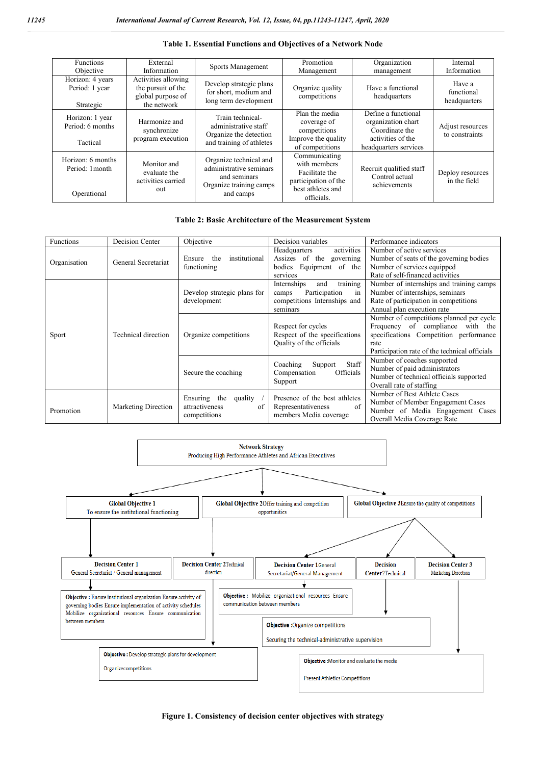| <b>Functions</b><br>Objective                       | External<br>Information                                                       | Sports Management                                                                                         | Promotion<br>Management                                                                                    | Organization<br>management                                                                                | Internal<br>Information              |
|-----------------------------------------------------|-------------------------------------------------------------------------------|-----------------------------------------------------------------------------------------------------------|------------------------------------------------------------------------------------------------------------|-----------------------------------------------------------------------------------------------------------|--------------------------------------|
| Horizon: 4 years<br>Period: 1 year<br>Strategic     | Activities allowing<br>the pursuit of the<br>global purpose of<br>the network | Develop strategic plans<br>for short, medium and<br>long term development                                 | Organize quality<br>competitions                                                                           | Have a functional<br>headquarters                                                                         | Have a<br>functional<br>headquarters |
| Horizon: 1 year<br>Period: 6 months<br>Tactical     | Harmonize and<br>synchronize<br>program execution                             | Train technical-<br>administrative staff<br>Organize the detection<br>and training of athletes            | Plan the media<br>coverage of<br>competitions<br>Improve the quality<br>of competitions                    | Define a functional<br>organization chart<br>Coordinate the<br>activities of the<br>headquarters services | Adjust resources<br>to constraints   |
| Horizon: 6 months<br>Period: 1 month<br>Operational | Monitor and<br>evaluate the<br>activities carried<br>out                      | Organize technical and<br>administrative seminars<br>and seminars<br>Organize training camps<br>and camps | Communicating<br>with members<br>Facilitate the<br>participation of the<br>best athletes and<br>officials. | Recruit qualified staff<br>Control actual<br>achievements                                                 | Deploy resources<br>in the field     |

#### **Table 1. Essential Functions and Objectives of a Network Node**

#### **Table 2: Basic Architecture of the Measurement System**

| activities<br>Number of active services<br>Headquarters<br>institutional<br>Assizes of the governing<br>Number of seats of the governing bodies<br>Ensure<br>the<br>General Secretariat<br>Organisation<br>Number of services equipped<br>bodies Equipment of the<br>functioning<br>Rate of self-financed activities<br>services<br>training<br>Number of internships and training camps<br>Internships<br>and<br>Number of internships, seminars<br>Develop strategic plans for<br>Participation<br>camps<br>in<br>competitions Internships and<br>Rate of participation in competitions<br>development<br>Annual plan execution rate<br>seminars<br>Number of competitions planned per cycle<br>Frequency of compliance<br>Respect for cycles<br>with the<br>Respect of the specifications<br>Technical direction<br>specifications Competition performance<br>Organize competitions<br>Sport<br>Quality of the officials<br>rate<br>Participation rate of the technical officials<br>Number of coaches supported<br>Staff<br>Coaching<br>Support<br>Number of paid administrators<br>Secure the coaching<br>Officials<br>Compensation<br>Number of technical officials supported<br>Support<br>Overall rate of staffing<br>Number of Best Athlete Cases<br>Presence of the best athletes<br>Ensuring<br>the<br>quality<br>Number of Member Engagement Cases<br>of<br>Marketing Direction<br>attractiveness<br>Representativeness<br>of<br>Number of Media Engagement Cases<br>Promotion<br>members Media coverage<br>competitions |                  |                 |           |                    |                             |  |
|--------------------------------------------------------------------------------------------------------------------------------------------------------------------------------------------------------------------------------------------------------------------------------------------------------------------------------------------------------------------------------------------------------------------------------------------------------------------------------------------------------------------------------------------------------------------------------------------------------------------------------------------------------------------------------------------------------------------------------------------------------------------------------------------------------------------------------------------------------------------------------------------------------------------------------------------------------------------------------------------------------------------------------------------------------------------------------------------------------------------------------------------------------------------------------------------------------------------------------------------------------------------------------------------------------------------------------------------------------------------------------------------------------------------------------------------------------------------------------------------------------------------------------------|------------------|-----------------|-----------|--------------------|-----------------------------|--|
|                                                                                                                                                                                                                                                                                                                                                                                                                                                                                                                                                                                                                                                                                                                                                                                                                                                                                                                                                                                                                                                                                                                                                                                                                                                                                                                                                                                                                                                                                                                                      | <b>Functions</b> | Decision Center | Objective | Decision variables | Performance indicators      |  |
|                                                                                                                                                                                                                                                                                                                                                                                                                                                                                                                                                                                                                                                                                                                                                                                                                                                                                                                                                                                                                                                                                                                                                                                                                                                                                                                                                                                                                                                                                                                                      |                  |                 |           |                    |                             |  |
|                                                                                                                                                                                                                                                                                                                                                                                                                                                                                                                                                                                                                                                                                                                                                                                                                                                                                                                                                                                                                                                                                                                                                                                                                                                                                                                                                                                                                                                                                                                                      |                  |                 |           |                    |                             |  |
|                                                                                                                                                                                                                                                                                                                                                                                                                                                                                                                                                                                                                                                                                                                                                                                                                                                                                                                                                                                                                                                                                                                                                                                                                                                                                                                                                                                                                                                                                                                                      |                  |                 |           |                    |                             |  |
|                                                                                                                                                                                                                                                                                                                                                                                                                                                                                                                                                                                                                                                                                                                                                                                                                                                                                                                                                                                                                                                                                                                                                                                                                                                                                                                                                                                                                                                                                                                                      |                  |                 |           |                    |                             |  |
|                                                                                                                                                                                                                                                                                                                                                                                                                                                                                                                                                                                                                                                                                                                                                                                                                                                                                                                                                                                                                                                                                                                                                                                                                                                                                                                                                                                                                                                                                                                                      |                  |                 |           |                    |                             |  |
|                                                                                                                                                                                                                                                                                                                                                                                                                                                                                                                                                                                                                                                                                                                                                                                                                                                                                                                                                                                                                                                                                                                                                                                                                                                                                                                                                                                                                                                                                                                                      |                  |                 |           |                    |                             |  |
|                                                                                                                                                                                                                                                                                                                                                                                                                                                                                                                                                                                                                                                                                                                                                                                                                                                                                                                                                                                                                                                                                                                                                                                                                                                                                                                                                                                                                                                                                                                                      |                  |                 |           |                    |                             |  |
|                                                                                                                                                                                                                                                                                                                                                                                                                                                                                                                                                                                                                                                                                                                                                                                                                                                                                                                                                                                                                                                                                                                                                                                                                                                                                                                                                                                                                                                                                                                                      |                  |                 |           |                    |                             |  |
|                                                                                                                                                                                                                                                                                                                                                                                                                                                                                                                                                                                                                                                                                                                                                                                                                                                                                                                                                                                                                                                                                                                                                                                                                                                                                                                                                                                                                                                                                                                                      |                  |                 |           |                    |                             |  |
|                                                                                                                                                                                                                                                                                                                                                                                                                                                                                                                                                                                                                                                                                                                                                                                                                                                                                                                                                                                                                                                                                                                                                                                                                                                                                                                                                                                                                                                                                                                                      |                  |                 |           |                    |                             |  |
|                                                                                                                                                                                                                                                                                                                                                                                                                                                                                                                                                                                                                                                                                                                                                                                                                                                                                                                                                                                                                                                                                                                                                                                                                                                                                                                                                                                                                                                                                                                                      |                  |                 |           |                    |                             |  |
|                                                                                                                                                                                                                                                                                                                                                                                                                                                                                                                                                                                                                                                                                                                                                                                                                                                                                                                                                                                                                                                                                                                                                                                                                                                                                                                                                                                                                                                                                                                                      |                  |                 |           |                    |                             |  |
|                                                                                                                                                                                                                                                                                                                                                                                                                                                                                                                                                                                                                                                                                                                                                                                                                                                                                                                                                                                                                                                                                                                                                                                                                                                                                                                                                                                                                                                                                                                                      |                  |                 |           |                    |                             |  |
|                                                                                                                                                                                                                                                                                                                                                                                                                                                                                                                                                                                                                                                                                                                                                                                                                                                                                                                                                                                                                                                                                                                                                                                                                                                                                                                                                                                                                                                                                                                                      |                  |                 |           |                    |                             |  |
|                                                                                                                                                                                                                                                                                                                                                                                                                                                                                                                                                                                                                                                                                                                                                                                                                                                                                                                                                                                                                                                                                                                                                                                                                                                                                                                                                                                                                                                                                                                                      |                  |                 |           |                    |                             |  |
|                                                                                                                                                                                                                                                                                                                                                                                                                                                                                                                                                                                                                                                                                                                                                                                                                                                                                                                                                                                                                                                                                                                                                                                                                                                                                                                                                                                                                                                                                                                                      |                  |                 |           |                    |                             |  |
|                                                                                                                                                                                                                                                                                                                                                                                                                                                                                                                                                                                                                                                                                                                                                                                                                                                                                                                                                                                                                                                                                                                                                                                                                                                                                                                                                                                                                                                                                                                                      |                  |                 |           |                    |                             |  |
|                                                                                                                                                                                                                                                                                                                                                                                                                                                                                                                                                                                                                                                                                                                                                                                                                                                                                                                                                                                                                                                                                                                                                                                                                                                                                                                                                                                                                                                                                                                                      |                  |                 |           |                    |                             |  |
|                                                                                                                                                                                                                                                                                                                                                                                                                                                                                                                                                                                                                                                                                                                                                                                                                                                                                                                                                                                                                                                                                                                                                                                                                                                                                                                                                                                                                                                                                                                                      |                  |                 |           |                    |                             |  |
|                                                                                                                                                                                                                                                                                                                                                                                                                                                                                                                                                                                                                                                                                                                                                                                                                                                                                                                                                                                                                                                                                                                                                                                                                                                                                                                                                                                                                                                                                                                                      |                  |                 |           |                    |                             |  |
|                                                                                                                                                                                                                                                                                                                                                                                                                                                                                                                                                                                                                                                                                                                                                                                                                                                                                                                                                                                                                                                                                                                                                                                                                                                                                                                                                                                                                                                                                                                                      |                  |                 |           |                    | Overall Media Coverage Rate |  |



**Figure 1. Consistency of decision center objectives with strategy**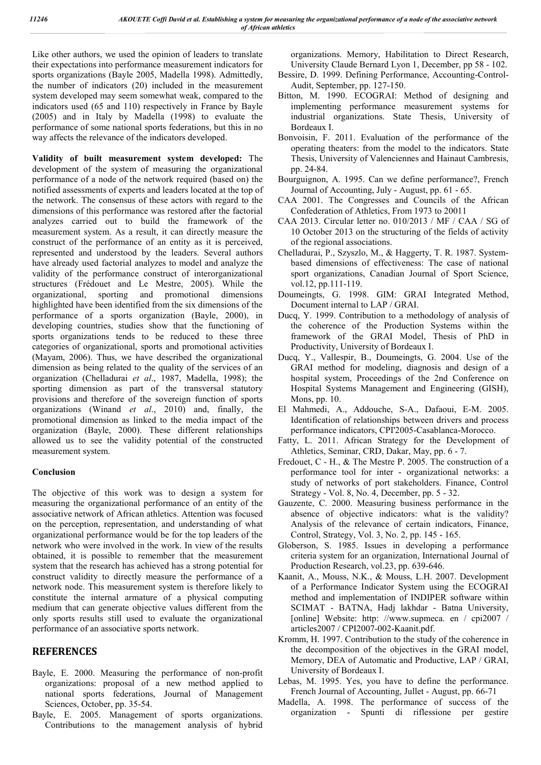Like other authors, we used the opinion of leaders to translate their expectations into performance measurement indicators for sports organizations (Bayle 2005, Madella 1998). Admittedly, the number of indicators (20) included in the measurement system developed may seem somewhat weak, compared to the indicators used (65 and 110) respectively in France by Bayle (2005) and in Italy by Madella (1998) to evaluate the performance of some national sports federations, but this in no way affects the relevance of the indicators developed.

**Validity of built measurement system developed:** The development of the system of measuring the organizational performance of a node of the network required (based on) the notified assessments of experts and leaders located at the top of the network. The consensus of these actors with regard to the dimensions of this performance was restored after the factorial analyzes carried out to build the framework of the measurement system. As a result, it can directly measure the construct of the performance of an entity as it is perceived, represented and understood by the leaders. Several authors have already used factorial analyzes to model and analyze the validity of the performance construct of interorganizational structures (Frédouet and Le Mestre, 2005). While the organizational, sporting and promotional dimensions highlighted have been identified from the six dimensions of the performance of a sports organization (Bayle, 2000), in developing countries, studies show that the functioning of sports organizations tends to be reduced to these three categories of organizational, sports and promotional activities (Mayam, 2006). Thus, we have described the organizational dimension as being related to the quality of the services of an organization (Chelladurai *et al*., 1987, Madella, 1998); the sporting dimension as part of the transversal statutory provisions and therefore of the sovereign function of sports organizations (Winand *et al*., 2010) and, finally, the promotional dimension as linked to the media impact of the organization (Bayle, 2000). These different relationships allowed us to see the validity potential of the constructed measurement system.

#### **Conclusion**

The objective of this work was to design a system for measuring the organizational performance of an entity of the associative network of African athletics. Attention was focused on the perception, representation, and understanding of what organizational performance would be for the top leaders of the network who were involved in the work. In view of the results obtained, it is possible to remember that the measurement system that the research has achieved has a strong potential for construct validity to directly measure the performance of a network node. This measurement system is therefore likely to constitute the internal armature of a physical computing medium that can generate objective values different from the only sports results still used to evaluate the organizational performance of an associative sports network.

### **REFERENCES**

- Bayle, E. 2000. Measuring the performance of non-profit organizations: proposal of a new method applied to national sports federations, Journal of Management Sciences, October, pp. 35-54.
- Bayle, E. 2005. Management of sports organizations. Contributions to the management analysis of hybrid

organizations. Memory, Habilitation to Direct Research, University Claude Bernard Lyon 1, December, pp 58 - 102.

- Bessire, D. 1999. Defining Performance, Accounting-Control-Audit, September, pp. 127-150.
- Bitton, M. 1990. ECOGRAI: Method of designing and implementing performance measurement systems for industrial organizations. State Thesis, University of Bordeaux I.
- Bonvoisin, F. 2011. Evaluation of the performance of the operating theaters: from the model to the indicators. State Thesis, University of Valenciennes and Hainaut Cambresis, pp. 24-84.
- Bourguignon, A. 1995. Can we define performance?, French Journal of Accounting, July - August, pp. 61 - 65.
- CAA 2001. The Congresses and Councils of the African Confederation of Athletics, From 1973 to 20011
- CAA 2013. Circular letter no. 010/2013 / MF / CAA / SG of 10 October 2013 on the structuring of the fields of activity of the regional associations.
- Chelladurai, P., Szyszlo, M., & Haggerty, T. R. 1987. Systembased dimensions of effectiveness: The case of national sport organizations, Canadian Journal of Sport Science, vol.12, pp.111-119.
- Doumeingts, G. 1998. GIM: GRAI Integrated Method, Document internal to LAP / GRAI.
- Ducq, Y. 1999. Contribution to a methodology of analysis of the coherence of the Production Systems within the framework of the GRAI Model, Thesis of PhD in Productivity, University of Bordeaux I.
- Ducq, Y., Vallespir, B., Doumeingts, G. 2004. Use of the GRAI method for modeling, diagnosis and design of a hospital system, Proceedings of the 2nd Conference on Hospital Systems Management and Engineering (GISH), Mons, pp. 10.
- El Mahmedi, A., Addouche, S-A., Dafaoui, E-M. 2005. Identification of relationships between drivers and process performance indicators, CPI'2005-Casablanca-Morocco.
- Fatty, L. 2011. African Strategy for the Development of Athletics, Seminar, CRD, Dakar, May, pp. 6 - 7.
- Fredouet, C H., & The Mestre P. 2005. The construction of a performance tool for inter - organizational networks: a study of networks of port stakeholders. Finance, Control Strategy - Vol. 8, No. 4, December, pp. 5 - 32.
- Gauzente, C. 2000. Measuring business performance in the absence of objective indicators: what is the validity? Analysis of the relevance of certain indicators, Finance, Control, Strategy, Vol. 3, No. 2, pp. 145 - 165.
- Globerson, S. 1985. Issues in developing a performance criteria system for an organization, International Journal of Production Research, vol.23, pp. 639-646.
- Kaanit, A., Mouss, N.K., & Mouss, L.H. 2007. Development of a Performance Indicator System using the ECOGRAI method and implementation of INDIPER software within SCIMAT - BATNA, Hadj lakhdar - Batna University, [online] Website: http: //www.supmeca. en / cpi2007 / articles2007 / CPI2007-002-Kaanit.pdf.
- Kromm, H. 1997. Contribution to the study of the coherence in the decomposition of the objectives in the GRAI model, Memory, DEA of Automatic and Productive, LAP / GRAI, University of Bordeaux I.
- Lebas, M. 1995. Yes, you have to define the performance. French Journal of Accounting, Jullet - August, pp. 66-71
- Madella, A. 1998. The performance of success of the organization - Spunti di riflessione per gestire